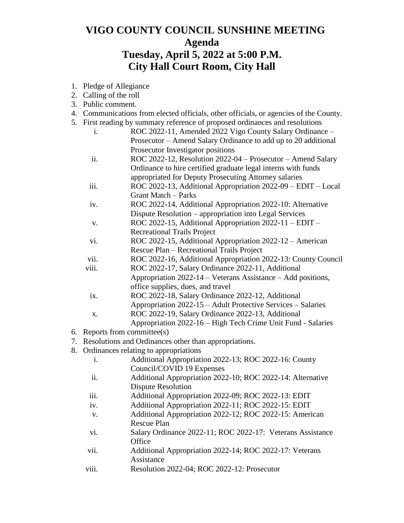## **VIGO COUNTY COUNCIL SUNSHINE MEETING Agenda Tuesday, April 5, 2022 at 5:00 P.M. City Hall Court Room, City Hall**

- 1. Pledge of Allegiance
- 2. Calling of the roll
- 3. Public comment.
- 4. Communications from elected officials, other officials, or agencies of the County.
- 5. First reading by summary reference of proposed ordinances and resolutions
	- i. ROC 2022-11, Amended 2022 Vigo County Salary Ordinance Prosecutor – Amend Salary Ordinance to add up to 20 additional Prosecutor Investigator positions
	- ii. ROC 2022-12, Resolution 2022-04 Prosecutor Amend Salary Ordinance to hire certified graduate legal interns with funds appropriated for Deputy Prosecuting Attorney salaries
	- iii. ROC 2022-13, Additional Appropriation 2022-09 EDIT Local Grant Match – Parks
	- iv. ROC 2022-14, Additional Appropriation 2022-10: Alternative Dispute Resolution – appropriation into Legal Services
	- v. ROC 2022-15, Additional Appropriation 2022-11 EDIT Recreational Trails Project
	- vi. ROC 2022-15, Additional Appropriation 2022-12 American Rescue Plan – Recreational Trails Project
	- vii. ROC 2022-16, Additional Appropriation 2022-13: County Council
	- viii. ROC 2022-17, Salary Ordinance 2022-11, Additional
		- Appropriation 2022-14 Veterans Assistance Add positions, office supplies, dues, and travel
	- ix. ROC 2022-18, Salary Ordinance 2022-12, Additional Appropriation 2022-15 – Adult Protective Services – Salaries
	- x. ROC 2022-19, Salary Ordinance 2022-13, Additional Appropriation 2022-16 – High Tech Crime Unit Fund - Salaries
- 6. Reports from committee(s)
- 7. Resolutions and Ordinances other than appropriations.
- 8. Ordinances relating to appropriations
	- i. Additional Appropriation 2022-13; ROC 2022-16: County Council/COVID 19 Expenses
	- ii. Additional Appropriation 2022-10; ROC 2022-14: Alternative Dispute Resolution
	- iii. Additional Appropriation 2022-09; ROC 2022-13: EDIT
	- iv. Additional Appropriation 2022-11; ROC 2022-15: EDIT
	- v. Additional Appropriation 2022-12; ROC 2022-15: American Rescue Plan
	- vi. Salary Ordinance 2022-11; ROC 2022-17: Veterans Assistance **Office**
	- vii. Additional Appropriation 2022-14; ROC 2022-17: Veterans Assistance
	- viii. Resolution 2022-04; ROC 2022-12: Prosecutor